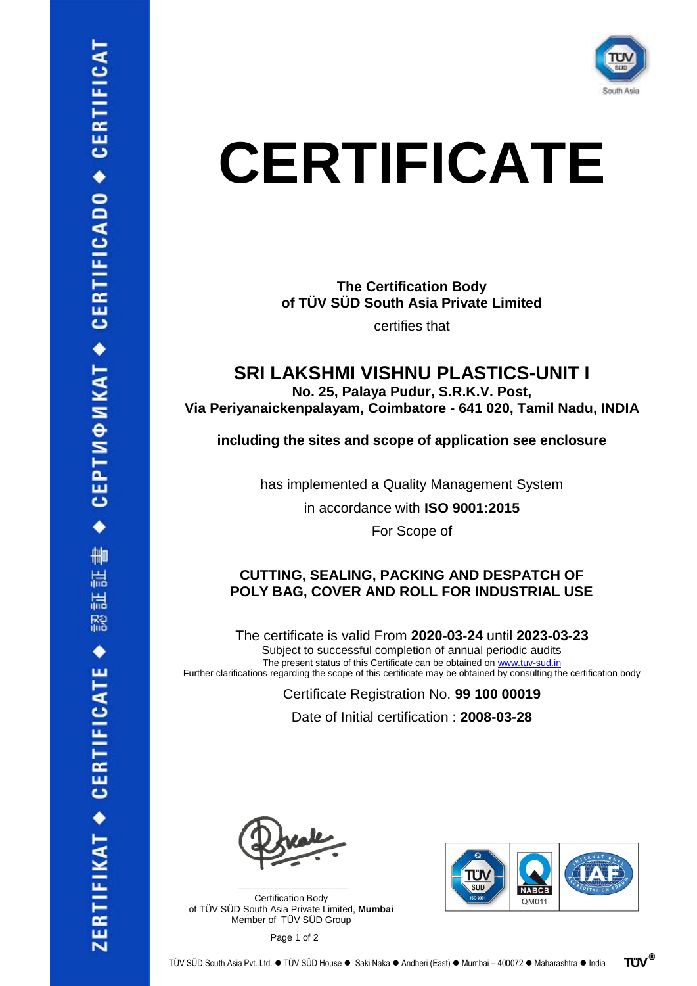

# **CERTIFICATE**

**The Certification Body of TÜV SÜD South Asia Private Limited**

certifies that

**SRI LAKSHMI VISHNU PLASTICS-UNIT I**

**No. 25, Palaya Pudur, S.R.K.V. Post,** 

**Via Periyanaickenpalayam, Coimbatore - 641 020, Tamil Nadu, INDIA**

**including the sites and scope of application see enclosure**

has implemented a Quality Management System in accordance with **ISO 9001:2015**

For Scope of

### **CUTTING, SEALING, PACKING AND DESPATCH OF POLY BAG, COVER AND ROLL FOR INDUSTRIAL USE**

The certificate is valid From **2020-03-24** until **2023-03-23** Subject to successful completion of annual periodic audits The present status of this Certificate can be obtained on [www.tuv-sud.in](http://www.tuv-sud.in/) Further clarifications regarding the scope of this certificate may be obtained by consulting the certification body

Certificate Registration No. **99 100 00019**

Date of Initial certification : **2008-03-28**

Certification Body of TÜV SÜD South Asia Private Limited, **Mumbai** Member of TÜV SÜD Group

 $\mathcal{L}$  , and the set of the set of the set of the set of the set of the set of the set of the set of the set of the set of the set of the set of the set of the set of the set of the set of the set of the set of the set



Page 1 of 2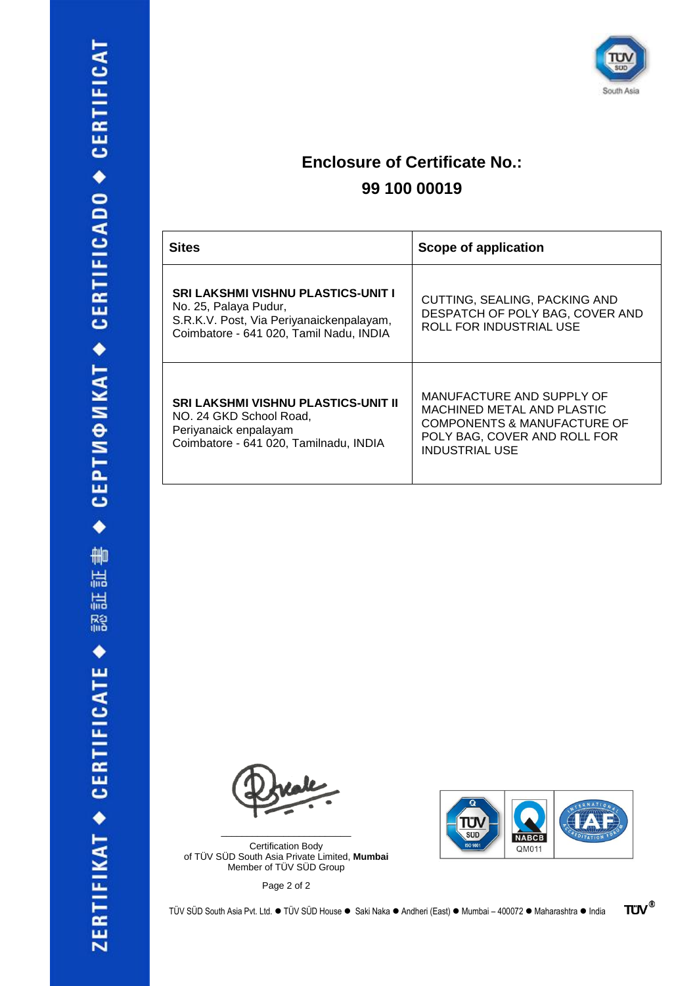

## **Enclosure of Certificate No.: 99 100 00019**

| <b>Sites</b>                                                                                                                                       | Scope of application                                                                                                                            |
|----------------------------------------------------------------------------------------------------------------------------------------------------|-------------------------------------------------------------------------------------------------------------------------------------------------|
| SRI LAKSHMI VISHNU PLASTICS-UNIT I<br>No. 25, Palaya Pudur,<br>S.R.K.V. Post, Via Periyanaickenpalayam,<br>Coimbatore - 641 020, Tamil Nadu, INDIA | CUTTING, SEALING, PACKING AND<br>DESPATCH OF POLY BAG, COVER AND<br>ROLL FOR INDUSTRIAL USE                                                     |
| <b>SRI LAKSHMI VISHNU PLASTICS-UNIT II</b><br>NO. 24 GKD School Road,<br>Periyanaick enpalayam<br>Coimbatore - 641 020, Tamilnadu, INDIA           | MANUFACTURE AND SUPPLY OF<br>MACHINED METAL AND PLASTIC<br>COMPONENTS & MANUFACTURE OF<br>POLY BAG, COVER AND ROLL FOR<br><b>INDUSTRIAL USE</b> |

Certification Body of TÜV SÜD South Asia Private Limited, **Mumbai** Member of TÜV SÜD Group

\_\_\_\_\_\_\_\_\_\_\_\_\_\_\_\_\_\_\_\_\_\_\_\_\_

Page 2 of 2

TÜV SÜD South Asia Pvt. Ltd. ⚫ TÜV SÜD House ⚫ Saki Naka ⚫ Andheri (East) ⚫ Mumbai – 400072 ⚫ Maharashtra ⚫ India



**TÜV®**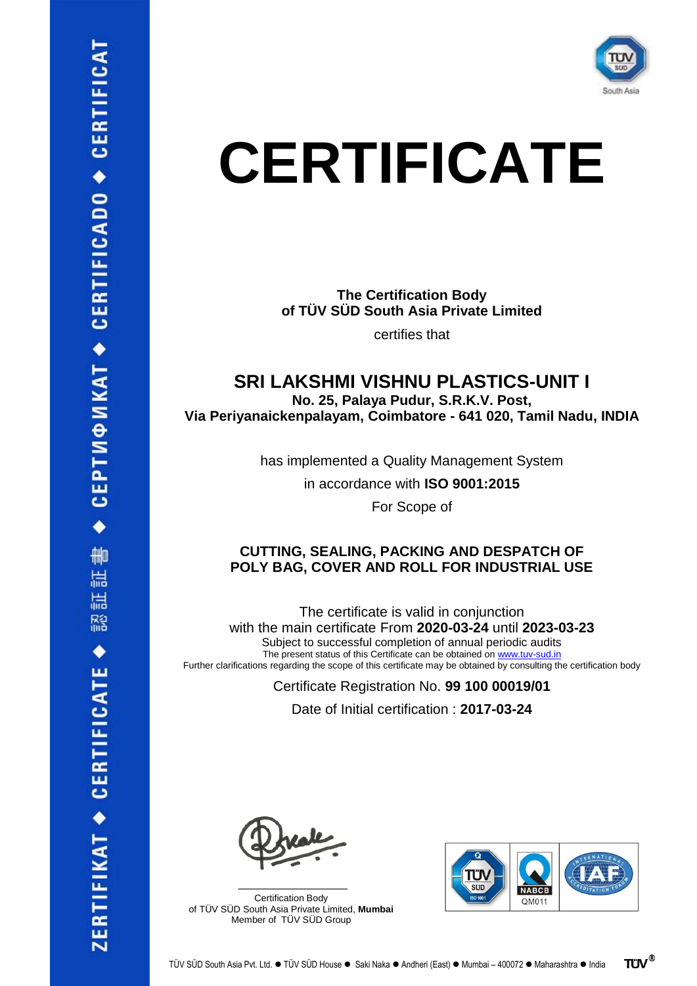

## **CERTIFICATE**

**The Certification Body of TÜV SÜD South Asia Private Limited** certifies that

### **SRI LAKSHMI VISHNU PLASTICS-UNIT I**

**No. 25, Palaya Pudur, S.R.K.V. Post, Via Periyanaickenpalayam, Coimbatore - 641 020, Tamil Nadu, INDIA**

has implemented a Quality Management System

in accordance with **ISO 9001:2015**

For Scope of

#### **CUTTING, SEALING, PACKING AND DESPATCH OF POLY BAG, COVER AND ROLL FOR INDUSTRIAL USE**

The certificate is valid in conjunction with the main certificate From **2020-03-24** until **2023-03-23** Subject to successful completion of annual periodic audits The present status of this Certificate can be obtained on [www.tuv-sud.in](http://www.tuv-sud.in/) Further clarifications regarding the scope of this certificate may be obtained by consulting the certification body

Certificate Registration No. **99 100 00019/01**

Date of Initial certification : **2017-03-24**

Certification Body of TÜV SÜD South Asia Private Limited, **Mumbai** Member of TÜV SÜD Group

 $\mathcal{L}$  , and the set of the set of the set of the set of the set of the set of the set of the set of the set of the set of the set of the set of the set of the set of the set of the set of the set of the set of the set